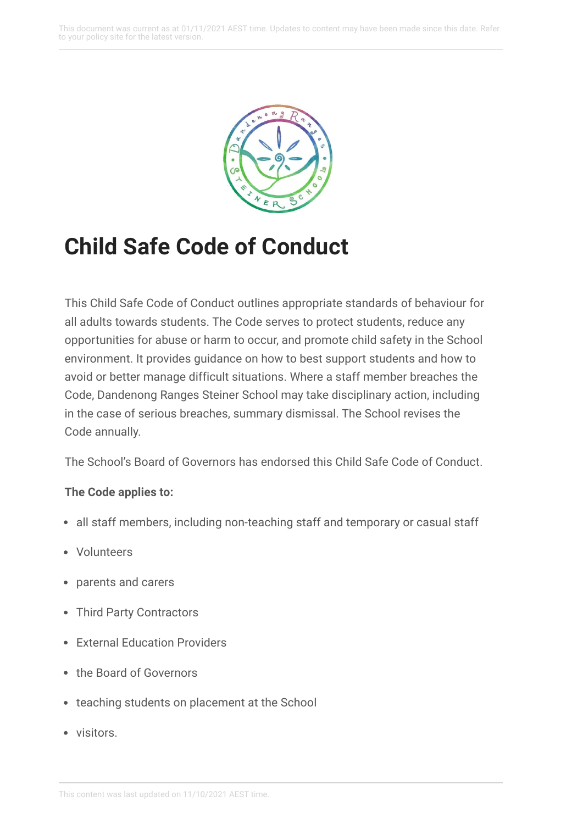

# **Child Safe Code of Conduct**

This Child Safe Code of Conduct outlines appropriate standards of behaviour for all adults towards students. The Code serves to protect students, reduce any opportunities for abuse or harm to occur, and promote child safety in the School environment. It provides guidance on how to best support students and how to avoid or better manage difficult situations. Where a staff member breaches the Code, Dandenong Ranges Steiner School may take disciplinary action, including in the case of serious breaches, summary dismissal. The School revises the Code annually.

The School's Board of Governors has endorsed this Child Safe Code of Conduct.

## **The Code applies to:**

- all staff members, including non-teaching staff and temporary or casual staff
- Volunteers
- parents and carers
- Third Party Contractors
- External Education Providers
- the Board of Governors
- teaching students on placement at the School
- visitors.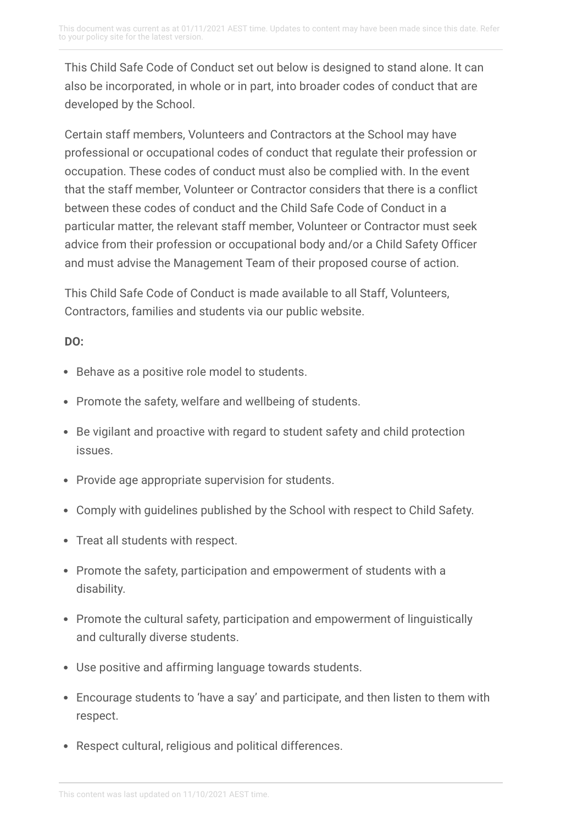This Child Safe Code of Conduct set out below is designed to stand alone. It can also be incorporated, in whole or in part, into broader codes of conduct that are developed by the School.

Certain staff members, Volunteers and Contractors at the School may have professional or occupational codes of conduct that regulate their profession or occupation. These codes of conduct must also be complied with. In the event that the staff member, Volunteer or Contractor considers that there is a conflict between these codes of conduct and the Child Safe Code of Conduct in a particular matter, the relevant staff member, Volunteer or Contractor must seek advice from their profession or occupational body and/or a Child Safety Officer and must advise the Management Team of their proposed course of action.

This Child Safe Code of Conduct is made available to all Staff, Volunteers, Contractors, families and students via our public website.

## **DO:**

- Behave as a positive role model to students.
- Promote the safety, welfare and wellbeing of students.
- Be vigilant and proactive with regard to student safety and child protection issues.
- Provide age appropriate supervision for students.
- Comply with guidelines published by the School with respect to Child Safety.
- Treat all students with respect.
- Promote the safety, participation and empowerment of students with a disability.
- Promote the cultural safety, participation and empowerment of linguistically and culturally diverse students.
- Use positive and affirming language towards students.
- Encourage students to 'have a say' and participate, and then listen to them with respect.
- Respect cultural, religious and political differences.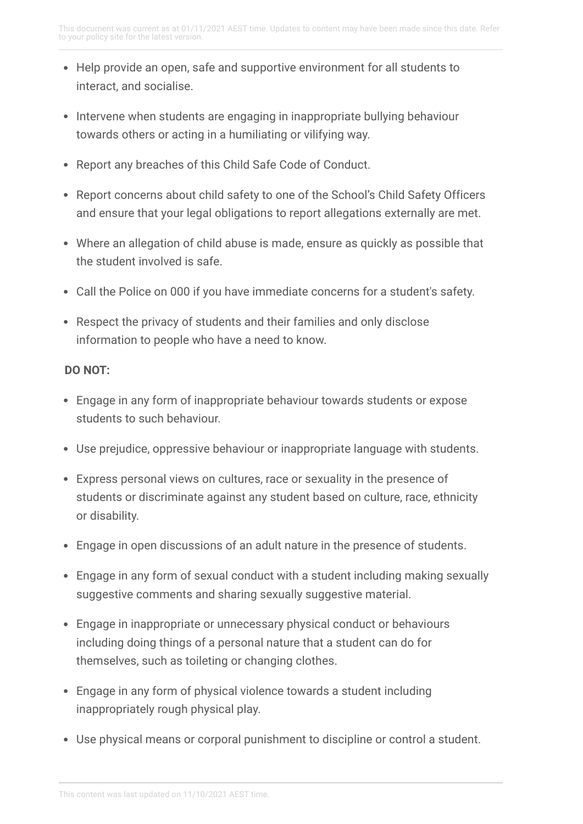- Help provide an open, safe and supportive environment for all students to interact, and socialise.
- Intervene when students are engaging in inappropriate bullying behaviour towards others or acting in a humiliating or vilifying way.
- Report any breaches of this Child Safe Code of Conduct.
- Report concerns about child safety to one of the School's Child Safety Officers and ensure that your legal obligations to report allegations externally are met.
- Where an allegation of child abuse is made, ensure as quickly as possible that the student involved is safe.
- Call the Police on 000 if you have immediate concerns for a student's safety.
- Respect the privacy of students and their families and only disclose information to people who have a need to know.

### **DO NOT:**

- Engage in any form of inappropriate behaviour towards students or expose students to such behaviour.
- Use prejudice, oppressive behaviour or inappropriate language with students.
- Express personal views on cultures, race or sexuality in the presence of students or discriminate against any student based on culture, race, ethnicity or disability.
- Engage in open discussions of an adult nature in the presence of students.
- Engage in any form of sexual conduct with a student including making sexually suggestive comments and sharing sexually suggestive material.
- Engage in inappropriate or unnecessary physical conduct or behaviours including doing things of a personal nature that a student can do for themselves, such as toileting or changing clothes.
- Engage in any form of physical violence towards a student including inappropriately rough physical play.
- Use physical means or corporal punishment to discipline or control a student.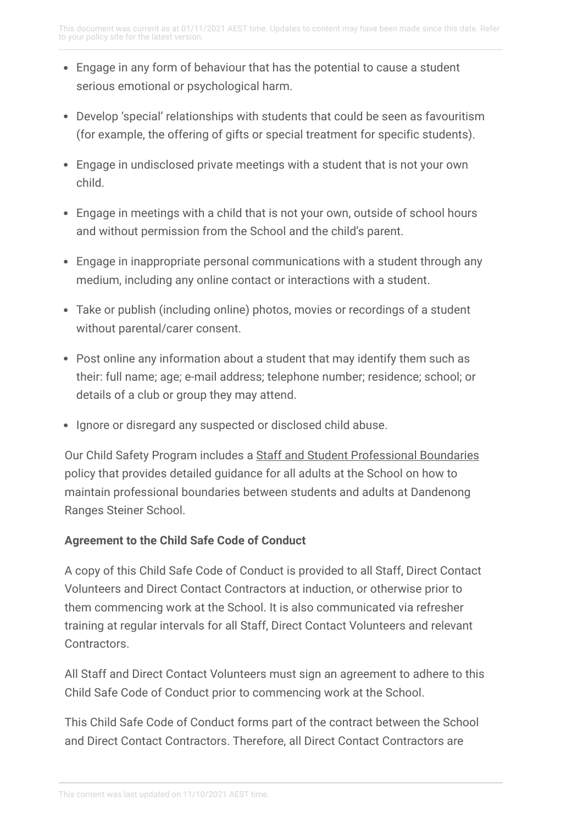- Engage in any form of behaviour that has the potential to cause a student serious emotional or psychological harm.
- Develop 'special' relationships with students that could be seen as favouritism (for example, the offering of gifts or special treatment for specific students).
- Engage in undisclosed private meetings with a student that is not your own child.
- Engage in meetings with a child that is not your own, outside of school hours and without permission from the School and the child's parent.
- Engage in inappropriate personal communications with a student through any medium, including any online contact or interactions with a student.
- Take or publish (including online) photos, movies or recordings of a student without parental/carer consent.
- Post online any information about a student that may identify them such as their: full name; age; e-mail address; telephone number; residence; school; or details of a club or group they may attend.
- Ignore or disregard any suspected or disclosed child abuse.

Our Child Safety Program includes a Staff and Student [Professional](https://drss.complispaceprimary.com.au/module/53/page/8d8dd015-1cf8-43d5-a405-dd71c77b6722.md) Boundaries policy that provides detailed guidance for all adults at the School on how to maintain professional boundaries between students and adults at Dandenong Ranges Steiner School.

## **Agreement to the Child Safe Code of Conduct**

A copy of this Child Safe Code of Conduct is provided to all Staff, Direct Contact Volunteers and Direct Contact Contractors at induction, or otherwise prior to them commencing work at the School. It is also communicated via refresher training at regular intervals for all Staff, Direct Contact Volunteers and relevant **Contractors** 

All Staff and Direct Contact Volunteers must sign an agreement to adhere to this Child Safe Code of Conduct prior to commencing work at the School.

This Child Safe Code of Conduct forms part of the contract between the School and Direct Contact Contractors. Therefore, all Direct Contact Contractors are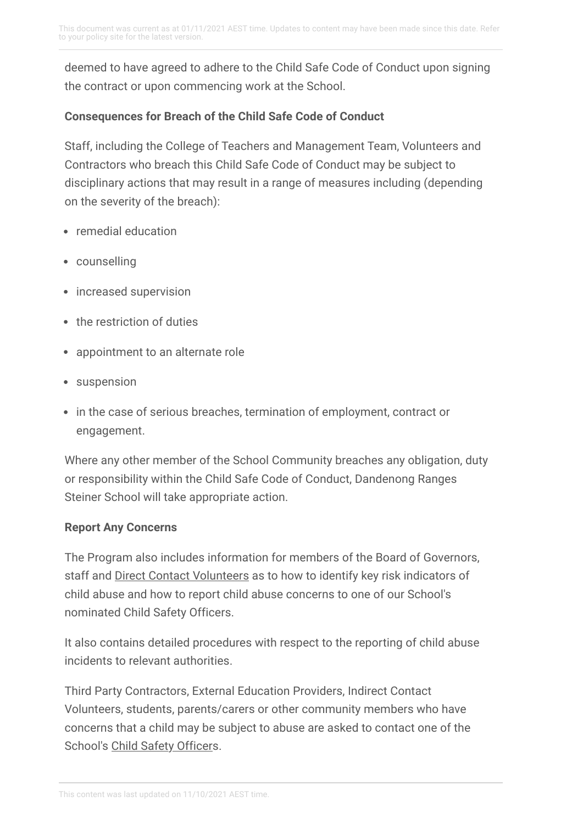deemed to have agreed to adhere to the Child Safe Code of Conduct upon signing the contract or upon commencing work at the School.

## **Consequences for Breach of the Child Safe Code of Conduct**

Staff, including the College of Teachers and Management Team, Volunteers and Contractors who breach this Child Safe Code of Conduct may be subject to disciplinary actions that may result in a range of measures including (depending on the severity of the breach):

- remedial education
- counselling
- increased supervision
- the restriction of duties
- appointment to an alternate role
- suspension
- in the case of serious breaches, termination of employment, contract or engagement.

Where any other member of the School Community breaches any obligation, duty or responsibility within the Child Safe Code of Conduct, Dandenong Ranges Steiner School will take appropriate action.

#### **Report Any Concerns**

The Program also includes information for members of the Board of Governors, staff and Direct Contact [Volunteers](https://drss.complispaceprimary.com.au/module/53/page/4a2eb7d8-50c8-4271-bd0f-be2f0b84e3d9.md) as to how to identify key risk indicators of child abuse and how to report child abuse concerns to one of our School's nominated Child Safety Officers.

It also contains detailed procedures with respect to the reporting of child abuse incidents to relevant authorities.

Third Party Contractors, External Education Providers, Indirect Contact Volunteers, students, parents/carers or other community members who have concerns that a child may be subject to abuse are asked to contact one of the School's Child Safety [Officers](https://drss.complispaceprimary.com.au/module/53/page/b8877a38-8408-4730-979b-53cb1705529a.md).